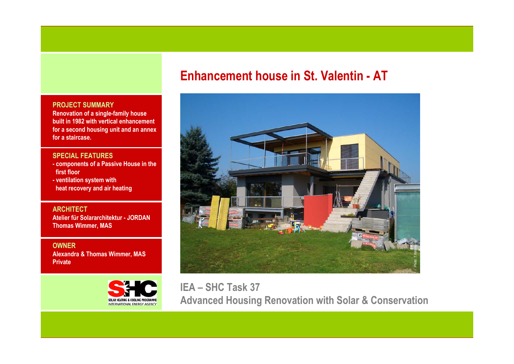# **Enhancement house in St. Valentin - AT**



**IEA – SHC Task 37 Advanced Housing Renovation with Solar & Conservation**

### **PROJECT SUMMARY**

**Renovation of a single-family house built in 1982 with vertical enhancement for a second housing unit and an annex for a staircase.**

#### **SPECIAL FEATURES**

- **- components of a Passive House in the first floor**
- **- ventilation system with heat recovery and air heating**

**ARCHITECTAtelier für Solararchitektur - JORDANThomas Wimmer, MAS**

**OWNERAlexandra & Thomas Wimmer, MAS Private**

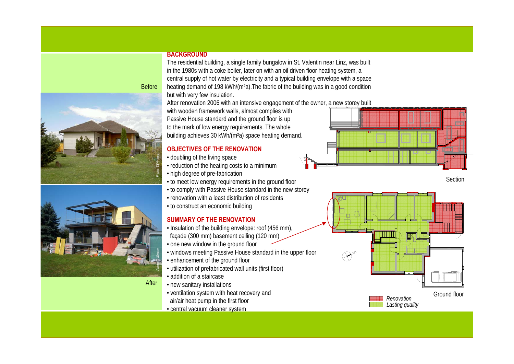#### **BACKGROUND**

The residential building, a single family bungalow in St. Valentin near Linz, was built in the 1980s with a coke boiler, later on with an oil driven floor heating system, a central supply of hot water by electricity and a typical building envelope with a space heating demand of 198 kWh/(m<sup>2</sup>a). The fabric of the building was in a good condition but with very few insulation.

After renovation 2006 with an intensive engagement of the owner, a new storey built

with wooden framework walls, almost complies with Passive House standard and the ground floor is up to the mark of low energy requirements. The whole building achieves 30 kWh/(m²a) space heating demand.

# **OBJECTIVES OF THE RENOVATION**

- doubling of the living space
- reduction of the heating costs to a minimum
- high degree of pre-fabrication
- to meet low energy requirements in the ground floor
- to comply with Passive House standard in the new storey
- renovation with a least distribution of residents
- to construct an economic building

# **SUMMARY OF THE RENOVATION**

- Insulation of the building envelope: roof (456 mm), façade (300 mm) basement ceiling (120 mm)
- one new window in the ground floor
- windows meeting Passive House standard in the upper floor
- enhancement of the ground floor
- utilization of prefabricated wall units (first floor)
- addition of a staircase
- new sanitary installations
- ventilation system with heat recovery and air/air heat pump in the first floor
- central vacuum cleaner system



Section







After

Before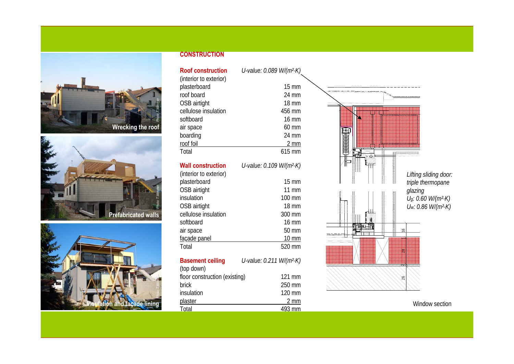





## **CONSTRUCTION**

| <b>Roof construction</b> | U-value: 0.089 W/(m <sup>2</sup> .K) |
|--------------------------|--------------------------------------|
| (interior to exterior)   |                                      |
| plasterboard             | $15 \text{ mm}$                      |
| roof board               | 24 mm                                |
| OSB airtight             | <b>18 mm</b>                         |
| cellulose insulation     | 456 mm                               |
| softboard                | $16 \text{ mm}$                      |
| air space                | $60 \text{ mm}$                      |
| boarding                 | 24 mm                                |
| roof foil                | 2 mm                                 |
| Total                    | $615 \text{ mm}$                     |
|                          |                                      |

#### **Wall construction**

| $15 \text{ mm}$   |
|-------------------|
| $11 \text{ mm}$   |
| 100 mm            |
| $18 \text{ mm}$   |
| 300 mm            |
| $16 \text{ mm}$   |
| 50 mm             |
| $10 \, \text{mm}$ |
| 520 mm            |
|                   |

*U-value: 0.109 W/(m²·K)*

| <b>Basement ceiling</b>       | U-value: 0.211 W/(m <sup>2</sup> ·K) |                  |
|-------------------------------|--------------------------------------|------------------|
| (top down)                    |                                      |                  |
| floor construction (existing) |                                      | $121 \text{ mm}$ |
| brick                         |                                      | 250 mm           |
| insulation                    |                                      | 120 mm           |
| plaster                       |                                      | $2 \, \text{mm}$ |
| Total                         |                                      | 493 mm           |



Window section